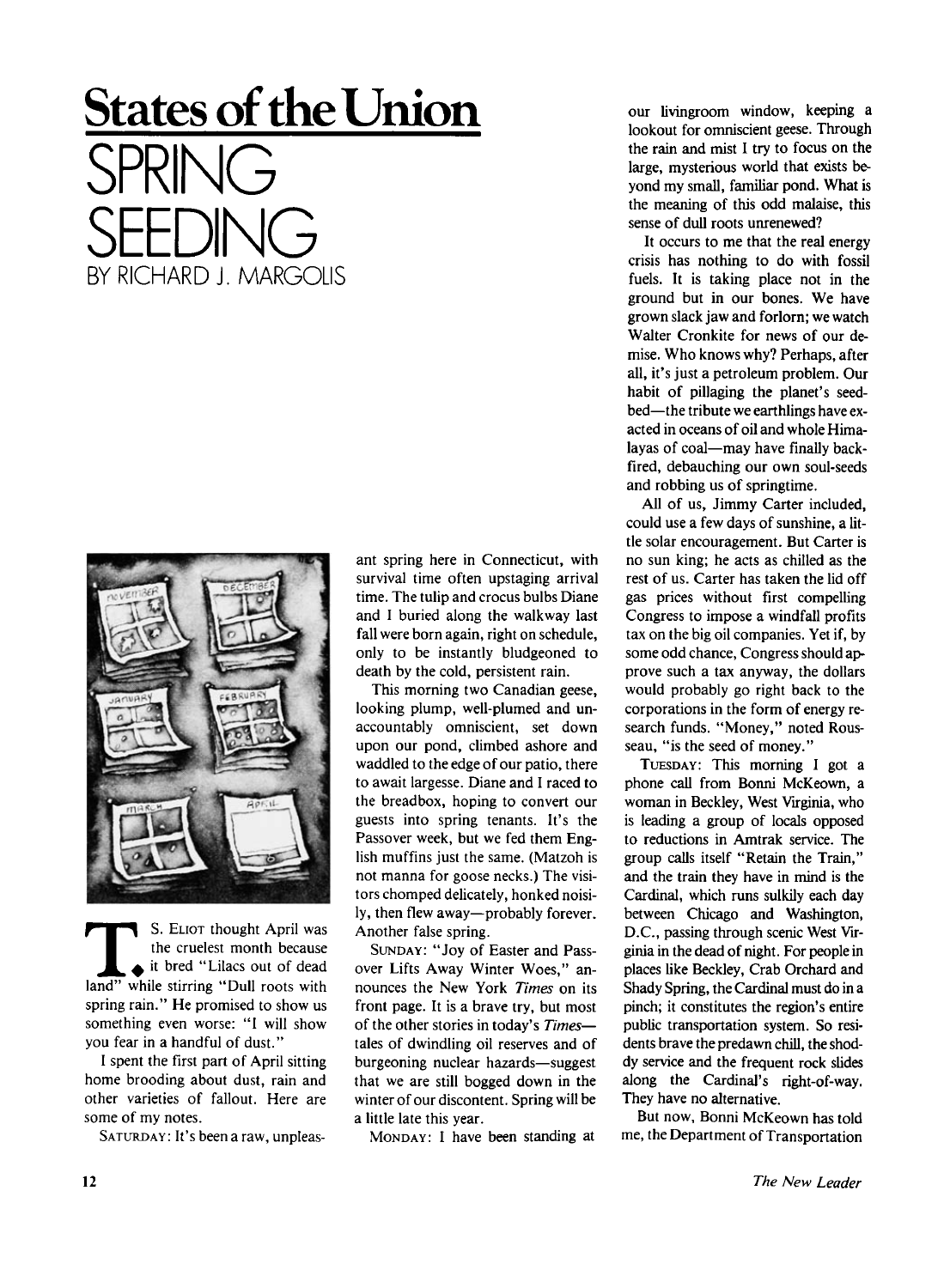# **States of the Union**  SPRING SEEDING **BY RICHARD J. MARGOLIS**



**TELENT SO SELL STARK SUGGER**<br> **TELENT STARK STARK STARK STARK STARK STARK STARK STARK STARK STARK STARK STARK STARK STARK STARK STARK STARK STARK STARK STARK STARK STARK STARK STARK STARK STARK STARK STARK STARK STARK STA** *\* S. ELIOT thought April was the crudest month because • it bred "Lilacs out of dead spring rain." He promised to show us something even worse: "I will show you fear in a handful of dust."

I spent the first part of April sitting home brooding about dust, rain and other varieties of fallout. Here are some of my notes.

SATURDAY: It's been a raw, unpleas-

ant spring here in Connecticut, with survival time often upstaging arrival time. The tulip and crocus bulbs Diane and I buried along the walkway last fall were born again, right on schedule, only to be instantly bludgeoned to death by the cold, persistent rain.

This morning two Canadian geese, looking plump, well-plumed and unaccountably omniscient, set down upon our pond, climbed ashore and waddled to the edge of our patio, there to await largesse. Diane and I raced to the breadbox, hoping to convert our guests into spring tenants. It's the Passover week, but we fed them English muffins just the same. (Matzoh is not manna for goose necks.) The visitors chomped delicately, honked noisily, then flew away—probably forever. Another false spring.

SUNDAY: "Joy of Easter and Passover Lifts Away Winter Woes," announces the New York *Times* on its front page. It is a brave try, but most of the other stories in today's *Times*  tales of dwindling oil reserves and of burgeoning nuclear hazards—suggest that we are still bogged down in the winter of our discontent. Spring will be a little late this year.

MONDAY: I have been standing at

our livingroom window, keeping a lookout for omniscient geese. Through the rain and mist I try to focus on the large, mysterious world that exists beyond my small, familiar pond. What is the meaning of this odd malaise, this sense of dull roots unrenewed?

It occurs to me that the real energy crisis has nothing to do with fossil fuels. It is taking place not in the ground but in our bones. We have grown slack jaw and forlorn; we watch Walter Cronkite for news of our demise. Who knows why? Perhaps, after all, it's just a petroleum problem. Our habit of pillaging the planet's seedbed—the tribute we earthlings have exacted in oceans of oil and whole Himalayas of coal—may have finally backfired, debauching our own soul-seeds and robbing us of springtime.

All of us, Jimmy Carter included, could use a few days of sunshine, a little solar encouragement. But Carter is no sun king; he acts as chilled as the rest of us. Carter has taken the lid off gas prices without first compelling Congress to impose a windfall profits tax on the big oil companies. Yet if, by some odd chance, Congress should approve such a tax anyway, the dollars would probably go right back to the corporations in the form of energy research funds. "Money," noted Rousseau, "is the seed of money."

TUESDAY: This morning I got a phone call from Bonni McKeown, a woman in Beckley, West Virginia, who is leading a group of locals opposed to reductions in Amtrak service. The group calls itself "Retain the Train," and the train they have in mind is the Cardinal, which runs sulkily each day between Chicago and Washington, D.C. , passing through scenic West Virginia in the dead of night. For people in places like Beckley, Crab Orchard and Shady Spring, the Cardinal must do in a pinch; it constitutes the region's entire public transportation system. So residents brave the predawn chill, the shoddy service and the frequent rock slides along the Cardinal's right-of-way. They have no alternative.

But now, Bonni McKeown has told me, the Department of Transportation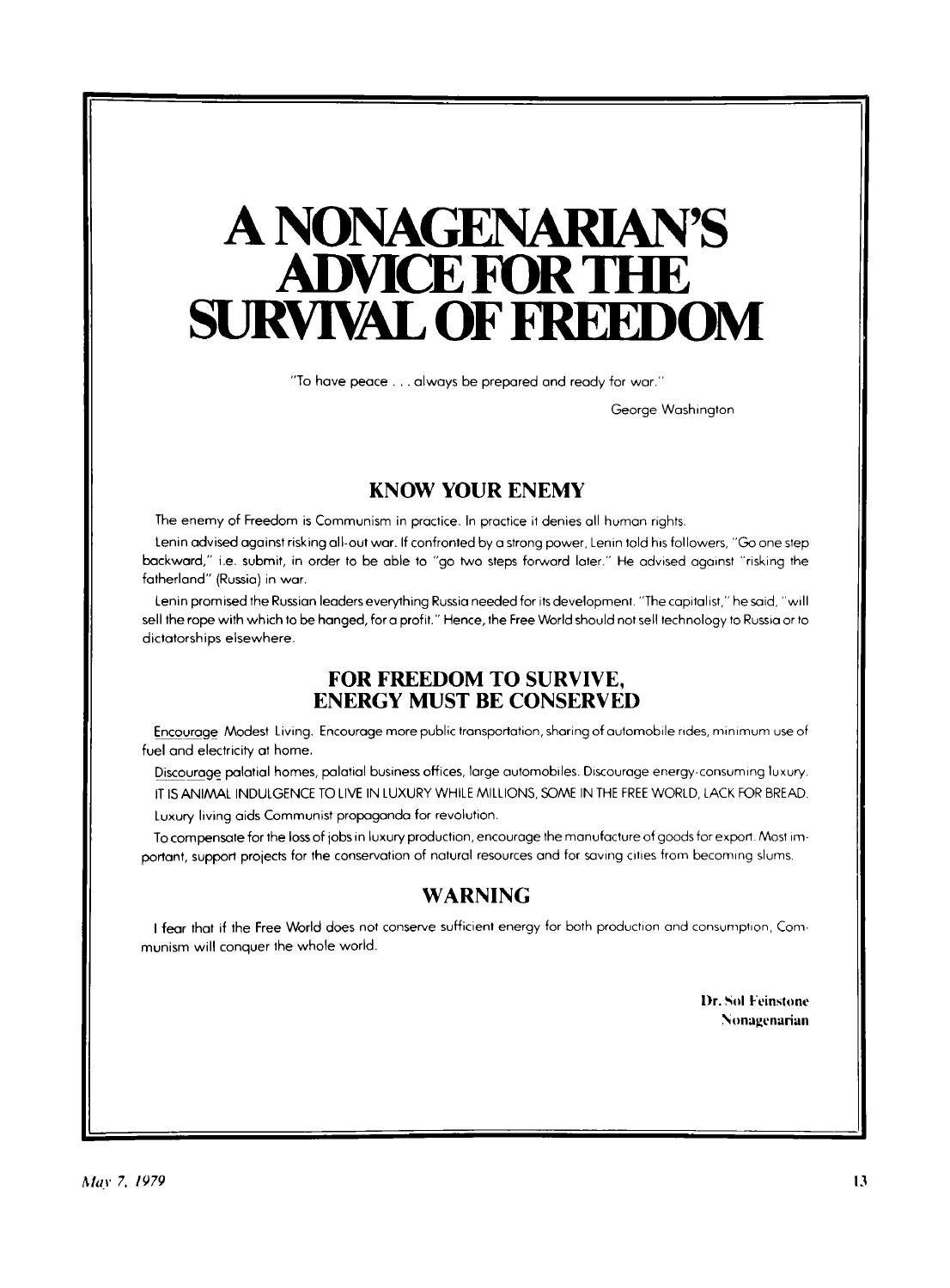## **A NONAGENARIAN'S ADVICE FOR THE SURVIVAL OF FREEDOM**

**"To have peace . . . always be prepared and ready for war. "** 

**George Washington** 

#### **KNOW YOUR ENEMY**

The enemy of Freedom is Communism in practice. In practice it denies all human rights.

**Lenin advised against risking all-out war. If confronted by a strong power, Lenin told his followers, "Go one step backward, " i.e. submit, in order to be able to "go two steps forward later." He advised against "risking the fatherland" (Russia) in war.** 

**Lenin promised the Russian leaders everything Russia needed for its development. "The capitalist," he said, "will sell the rope with which to be hanged, for a profit." Hence, the Free World should not sell technology to Russia or to dictatorships elsewhere.** 

#### **FOR FREEDOM TO SURVIVE, ENERGY MUST BE CONSERVED**

**Encourage Modest Living. Encourage more public transportation, sharing of automobile rides, minimum use of fuel and electricity at home.** 

**Discourage palatial homes, palatial business offices, large automobiles. Discourage energy-consuming luxury. IT IS ANIAAAL INDULGENCE TO LIVE IN LUXURY WHILE MILLIONS, SOME IN THE FREE WORLD, LACK FOR BREAD.** 

**Luxury living aids Communist propaganda for revolution.** 

**To compensate for the loss of jobs in luxury production, encourage the manufacture of goods for export. Most important, support projects for the conservation of natural resources and for saving cities from becoming slums.** 

### **WARNING**

**I fear that if the Free World does not conserve sufficient energy for both production and consumption, Com**munism will conquer the whole world.

> Dr. Sol Feinstone Nonagenarian